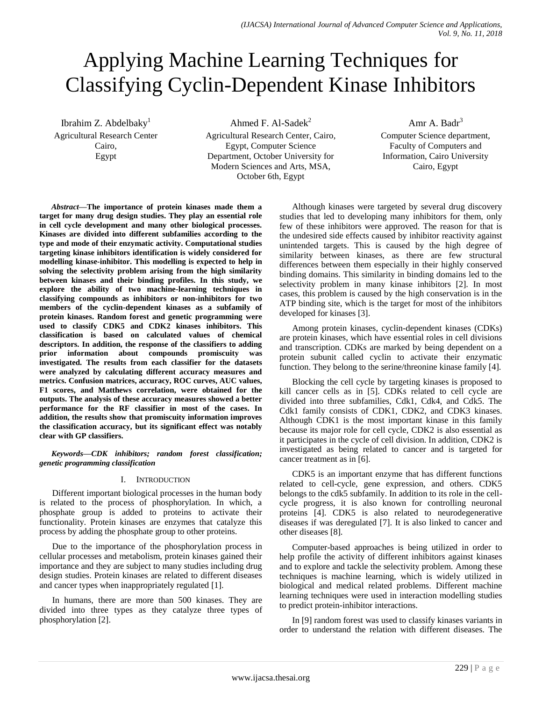# Applying Machine Learning Techniques for Classifying Cyclin-Dependent Kinase Inhibitors

Ibrahim Z. Abdelbaky $<sup>1</sup>$ </sup> Agricultural Research Center Cairo, Egypt

Ahmed F. Al-Sade $k^2$ Agricultural Research Center, Cairo, Egypt, Computer Science Department, October University for Modern Sciences and Arts, MSA, October 6th, Egypt

Amr A. Badr $3$ Computer Science department, Faculty of Computers and Information, Cairo University Cairo, Egypt

*Abstract***—The importance of protein kinases made them a target for many drug design studies. They play an essential role in cell cycle development and many other biological processes. Kinases are divided into different subfamilies according to the type and mode of their enzymatic activity. Computational studies targeting kinase inhibitors identification is widely considered for modelling kinase-inhibitor. This modelling is expected to help in solving the selectivity problem arising from the high similarity between kinases and their binding profiles. In this study, we explore the ability of two machine-learning techniques in classifying compounds as inhibitors or non-inhibitors for two members of the cyclin-dependent kinases as a subfamily of protein kinases. Random forest and genetic programming were used to classify CDK5 and CDK2 kinases inhibitors. This classification is based on calculated values of chemical descriptors. In addition, the response of the classifiers to adding prior information about compounds promiscuity was investigated. The results from each classifier for the datasets were analyzed by calculating different accuracy measures and metrics. Confusion matrices, accuracy, ROC curves, AUC values, F1 scores, and Matthews correlation, were obtained for the outputs. The analysis of these accuracy measures showed a better performance for the RF classifier in most of the cases. In addition, the results show that promiscuity information improves the classification accuracy, but its significant effect was notably clear with GP classifiers.**

*Keywords—CDK inhibitors; random forest classification; genetic programming classification*

## I. INTRODUCTION

Different important biological processes in the human body is related to the process of phosphorylation. In which, a phosphate group is added to proteins to activate their functionality. Protein kinases are enzymes that catalyze this process by adding the phosphate group to other proteins.

Due to the importance of the phosphorylation process in cellular processes and metabolism, protein kinases gained their importance and they are subject to many studies including drug design studies. Protein kinases are related to different diseases and cancer types when inappropriately regulated [1].

In humans, there are more than 500 kinases. They are divided into three types as they catalyze three types of phosphorylation [2].

Although kinases were targeted by several drug discovery studies that led to developing many inhibitors for them, only few of these inhibitors were approved. The reason for that is the undesired side effects caused by inhibitor reactivity against unintended targets. This is caused by the high degree of similarity between kinases, as there are few structural differences between them especially in their highly conserved binding domains. This similarity in binding domains led to the selectivity problem in many kinase inhibitors [2]. In most cases, this problem is caused by the high conservation is in the ATP binding site, which is the target for most of the inhibitors developed for kinases [3].

Among protein kinases, cyclin-dependent kinases (CDKs) are protein kinases, which have essential roles in cell divisions and transcription. CDKs are marked by being dependent on a protein subunit called cyclin to activate their enzymatic function. They belong to the serine/threonine kinase family [4].

Blocking the cell cycle by targeting kinases is proposed to kill cancer cells as in [5]. CDKs related to cell cycle are divided into three subfamilies, Cdk1, Cdk4, and Cdk5. The Cdk1 family consists of CDK1, CDK2, and CDK3 kinases. Although CDK1 is the most important kinase in this family because its major role for cell cycle, CDK2 is also essential as it participates in the cycle of cell division. In addition, CDK2 is investigated as being related to cancer and is targeted for cancer treatment as in [6].

CDK5 is an important enzyme that has different functions related to cell-cycle, gene expression, and others. CDK5 belongs to the cdk5 subfamily. In addition to its role in the cellcycle progress, it is also known for controlling neuronal proteins [4]. CDK5 is also related to neurodegenerative diseases if was deregulated [7]. It is also linked to cancer and other diseases [8].

Computer-based approaches is being utilized in order to help profile the activity of different inhibitors against kinases and to explore and tackle the selectivity problem. Among these techniques is machine learning, which is widely utilized in biological and medical related problems. Different machine learning techniques were used in interaction modelling studies to predict protein-inhibitor interactions.

In [9] random forest was used to classify kinases variants in order to understand the relation with different diseases. The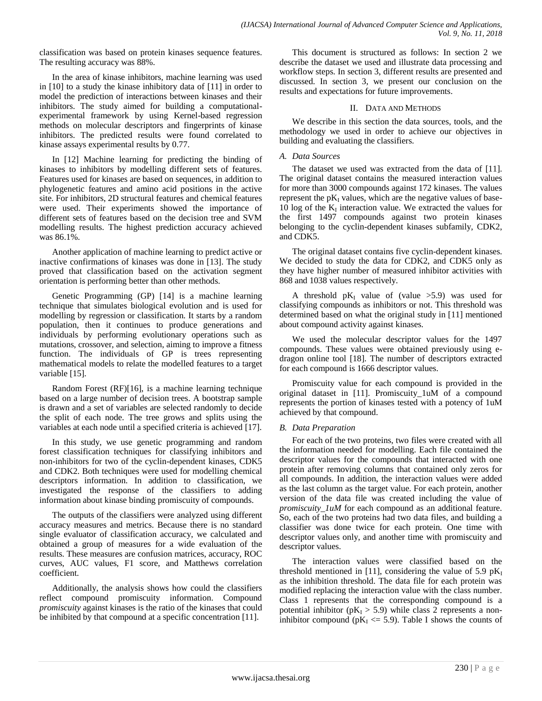classification was based on protein kinases sequence features. The resulting accuracy was 88%.

In the area of kinase inhibitors, machine learning was used in [10] to a study the kinase inhibitory data of [11] in order to model the prediction of interactions between kinases and their inhibitors. The study aimed for building a computationalexperimental framework by using Kernel-based regression methods on molecular descriptors and fingerprints of kinase inhibitors. The predicted results were found correlated to kinase assays experimental results by 0.77.

In [12] Machine learning for predicting the binding of kinases to inhibitors by modelling different sets of features. Features used for kinases are based on sequences, in addition to phylogenetic features and amino acid positions in the active site. For inhibitors, 2D structural features and chemical features were used. Their experiments showed the importance of different sets of features based on the decision tree and SVM modelling results. The highest prediction accuracy achieved was 86.1%.

Another application of machine learning to predict active or inactive confirmations of kinases was done in [13]. The study proved that classification based on the activation segment orientation is performing better than other methods.

Genetic Programming (GP) [14] is a machine learning technique that simulates biological evolution and is used for modelling by regression or classification. It starts by a random population, then it continues to produce generations and individuals by performing evolutionary operations such as mutations, crossover, and selection, aiming to improve a fitness function. The individuals of GP is trees representing mathematical models to relate the modelled features to a target variable [15].

Random Forest (RF)[16], is a machine learning technique based on a large number of decision trees. A bootstrap sample is drawn and a set of variables are selected randomly to decide the split of each node. The tree grows and splits using the variables at each node until a specified criteria is achieved [17].

In this study, we use genetic programming and random forest classification techniques for classifying inhibitors and non-inhibitors for two of the cyclin-dependent kinases, CDK5 and CDK2. Both techniques were used for modelling chemical descriptors information. In addition to classification, we investigated the response of the classifiers to adding information about kinase binding promiscuity of compounds.

The outputs of the classifiers were analyzed using different accuracy measures and metrics. Because there is no standard single evaluator of classification accuracy, we calculated and obtained a group of measures for a wide evaluation of the results. These measures are confusion matrices, accuracy, ROC curves, AUC values, F1 score, and Matthews correlation coefficient.

Additionally, the analysis shows how could the classifiers reflect compound promiscuity information. Compound *promiscuity* against kinases is the ratio of the kinases that could be inhibited by that compound at a specific concentration [11].

This document is structured as follows: In section 2 we describe the dataset we used and illustrate data processing and workflow steps. In section 3, different results are presented and discussed. In section 3, we present our conclusion on the results and expectations for future improvements.

# II. DATA AND METHODS

We describe in this section the data sources, tools, and the methodology we used in order to achieve our objectives in building and evaluating the classifiers.

# *A. Data Sources*

The dataset we used was extracted from the data of [11]. The original dataset contains the measured interaction values for more than 3000 compounds against 172 kinases. The values represent the  $pK<sub>I</sub>$  values, which are the negative values of base-10 log of the  $K_I$  interaction value. We extracted the values for the first 1497 compounds against two protein kinases belonging to the cyclin-dependent kinases subfamily, CDK2, and CDK5.

The original dataset contains five cyclin-dependent kinases. We decided to study the data for CDK2, and CDK5 only as they have higher number of measured inhibitor activities with 868 and 1038 values respectively.

A threshold  $pK_I$  value of (value >5.9) was used for classifying compounds as inhibitors or not. This threshold was determined based on what the original study in [11] mentioned about compound activity against kinases.

We used the molecular descriptor values for the 1497 compounds. These values were obtained previously using edragon online tool [18]. The number of descriptors extracted for each compound is 1666 descriptor values.

Promiscuity value for each compound is provided in the original dataset in [11]. Promiscuity\_1uM of a compound represents the portion of kinases tested with a potency of 1uM achieved by that compound.

# *B. Data Preparation*

For each of the two proteins, two files were created with all the information needed for modelling. Each file contained the descriptor values for the compounds that interacted with one protein after removing columns that contained only zeros for all compounds. In addition, the interaction values were added as the last column as the target value. For each protein, another version of the data file was created including the value of *promiscuity\_1uM* for each compound as an additional feature. So, each of the two proteins had two data files, and building a classifier was done twice for each protein. One time with descriptor values only, and another time with promiscuity and descriptor values.

The interaction values were classified based on the threshold mentioned in [11], considering the value of 5.9  $pK_I$ as the inhibition threshold. The data file for each protein was modified replacing the interaction value with the class number. Class 1 represents that the corresponding compound is a potential inhibitor ( $pK_I > 5.9$ ) while class 2 represents a noninhibitor compound ( $pK<sub>I</sub> \le 5.9$ ). Table I shows the counts of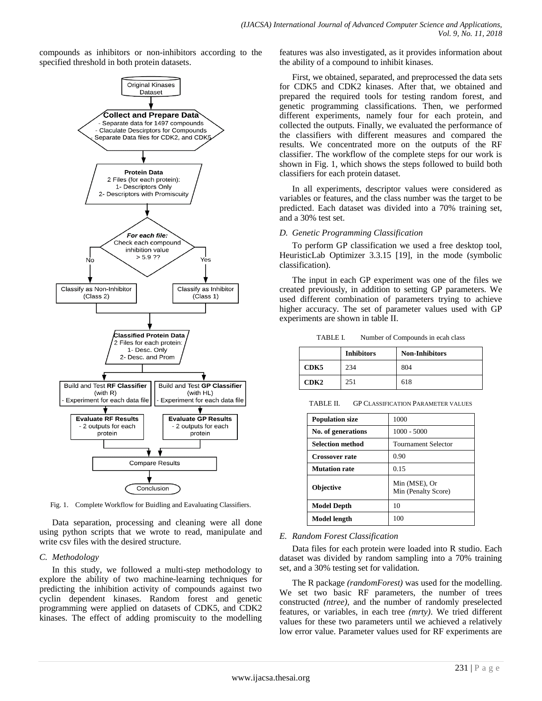compounds as inhibitors or non-inhibitors according to the specified threshold in both protein datasets.



Fig. 1. Complete Workflow for Buidling and Eavaluating Classifiers.

Data separation, processing and cleaning were all done using python scripts that we wrote to read, manipulate and write csv files with the desired structure.

#### *C. Methodology*

In this study, we followed a multi-step methodology to explore the ability of two machine-learning techniques for predicting the inhibition activity of compounds against two cyclin dependent kinases. Random forest and genetic programming were applied on datasets of CDK5, and CDK2 kinases. The effect of adding promiscuity to the modelling features was also investigated, as it provides information about the ability of a compound to inhibit kinases.

First, we obtained, separated, and preprocessed the data sets for CDK5 and CDK2 kinases. After that, we obtained and prepared the required tools for testing random forest, and genetic programming classifications. Then, we performed different experiments, namely four for each protein, and collected the outputs. Finally, we evaluated the performance of the classifiers with different measures and compared the results. We concentrated more on the outputs of the RF classifier. The workflow of the complete steps for our work is shown in Fig. 1, which shows the steps followed to build both classifiers for each protein dataset.

In all experiments, descriptor values were considered as variables or features, and the class number was the target to be predicted. Each dataset was divided into a 70% training set, and a 30% test set.

#### *D. Genetic Programming Classification*

To perform GP classification we used a free desktop tool, HeuristicLab Optimizer 3.3.15 [19], in the mode (symbolic classification).

The input in each GP experiment was one of the files we created previously, in addition to setting GP parameters. We used different combination of parameters trying to achieve higher accuracy. The set of parameter values used with GP experiments are shown in table II.

TABLE I. Number of Compounds in ecah class

|      | <b>Inhibitors</b> | <b>Non-Inhibitors</b> |
|------|-------------------|-----------------------|
| CDK5 | 234               | 804                   |
| CDK2 | 251               | 618                   |

TABLE II. GP CLASSIFICATION PARAMETER VALUES

| <b>Population size</b>  | 1000                                 |
|-------------------------|--------------------------------------|
| No. of generations      | $1000 - 5000$                        |
| <b>Selection method</b> | <b>Tournament Selector</b>           |
| <b>Crossover rate</b>   | 0.90                                 |
| <b>Mutation rate</b>    | 0.15                                 |
| <b>Objective</b>        | Min (MSE), Or<br>Min (Penalty Score) |
| Model Depth             | 10                                   |
| Model length            | 100                                  |

## *E. Random Forest Classification*

Data files for each protein were loaded into R studio. Each dataset was divided by random sampling into a 70% training set, and a 30% testing set for validation.

The R package *(randomForest)* was used for the modelling. We set two basic RF parameters, the number of trees constructed *(ntree),* and the number of randomly preselected features, or variables, in each tree *(mrty)*. We tried different values for these two parameters until we achieved a relatively low error value. Parameter values used for RF experiments are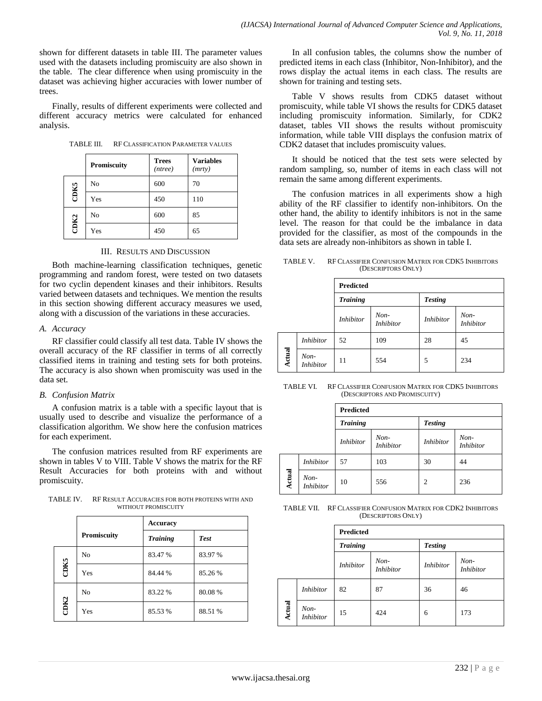shown for different datasets in table III. The parameter values used with the datasets including promiscuity are also shown in the table. The clear difference when using promiscuity in the dataset was achieving higher accuracies with lower number of trees.

Finally, results of different experiments were collected and different accuracy metrics were calculated for enhanced analysis.

TABLE III. RF CLASSIFICATION PARAMETER VALUES

|             | Promiscuity | <b>Trees</b><br>(ntree) | <b>Variables</b><br>(mrty) |
|-------------|-------------|-------------------------|----------------------------|
|             | No          | 600                     | 70                         |
| <b>CDK5</b> | Yes         | 450                     | 110                        |
|             | No          | 600                     | 85                         |
| CDK2        | Yes         | 450                     | 65                         |

#### III. RESULTS AND DISCUSSION

Both machine-learning classification techniques, genetic programming and random forest, were tested on two datasets for two cyclin dependent kinases and their inhibitors. Results varied between datasets and techniques. We mention the results in this section showing different accuracy measures we used, along with a discussion of the variations in these accuracies.

## *A. Accuracy*

RF classifier could classify all test data. Table IV shows the overall accuracy of the RF classifier in terms of all correctly classified items in training and testing sets for both proteins. The accuracy is also shown when promiscuity was used in the data set.

## *B. Confusion Matrix*

A confusion matrix is a table with a specific layout that is usually used to describe and visualize the performance of a classification algorithm. We show here the confusion matrices for each experiment.

The confusion matrices resulted from RF experiments are shown in tables V to VIII. Table V shows the matrix for the RF Result Accuracies for both proteins with and without promiscuity.

TABLE IV. RF RESULT ACCURACIES FOR BOTH PROTEINS WITH AND WITHOUT PROMISCUITY

|      |                    | <b>Accuracy</b> |             |
|------|--------------------|-----------------|-------------|
|      | <b>Promiscuity</b> | <b>Training</b> | <b>Test</b> |
|      | No                 | 83.47 %         | 83.97 %     |
| CDK5 | Yes                | 84.44 %         | 85.26 %     |
|      | No                 | 83.22 %         | 80.08%      |
| CDK2 | Yes                | 85.53 %         | 88.51 %     |

In all confusion tables, the columns show the number of predicted items in each class (Inhibitor, Non-Inhibitor), and the rows display the actual items in each class. The results are shown for training and testing sets.

Table V shows results from CDK5 dataset without promiscuity, while table VI shows the results for CDK5 dataset including promiscuity information. Similarly, for CDK2 dataset, tables VII shows the results without promiscuity information, while table VIII displays the confusion matrix of CDK2 dataset that includes promiscuity values.

It should be noticed that the test sets were selected by random sampling, so, number of items in each class will not remain the same among different experiments.

The confusion matrices in all experiments show a high ability of the RF classifier to identify non-inhibitors. On the other hand, the ability to identify inhibitors is not in the same level. The reason for that could be the imbalance in data provided for the classifier, as most of the compounds in the data sets are already non-inhibitors as shown in table I.

TABLE V. RF CLASSIFIER CONFUSION MATRIX FOR CDK5 INHIBITORS (DESCRIPTORS ONLY)

|               |                            | <b>Predicted</b> |                            |                  |                            |  |
|---------------|----------------------------|------------------|----------------------------|------------------|----------------------------|--|
|               |                            | <b>Training</b>  |                            | <b>Testing</b>   |                            |  |
|               |                            | <b>Inhibitor</b> | $Non-$<br><b>Inhibitor</b> | <b>Inhibitor</b> | $Non-$<br><i>Inhibitor</i> |  |
|               | <i>Inhibitor</i>           | 52               | 109                        | 28               | 45                         |  |
| <b>Actual</b> | $Non-$<br><i>Inhibitor</i> | 11               | 554                        | 5                | 234                        |  |

TABLE VI. RF CLASSIFIER CONFUSION MATRIX FOR CDK5 INHIBITORS (DESCRIPTORS AND PROMISCUITY)

|               |                          | <b>Predicted</b> |                            |                  |                            |  |
|---------------|--------------------------|------------------|----------------------------|------------------|----------------------------|--|
|               |                          | <b>Training</b>  |                            | <b>Testing</b>   |                            |  |
|               |                          | <i>Inhibitor</i> | $Non-$<br><i>Inhibitor</i> | <i>Inhibitor</i> | $Non-$<br><i>Inhibitor</i> |  |
|               | <i>Inhibitor</i>         | 57               | 103                        | 30               | 44                         |  |
| <b>Actual</b> | Non-<br><i>Inhibitor</i> | 10               | 556                        | $\overline{2}$   | 236                        |  |

TABLE VII. RF CLASSIFIER CONFUSION MATRIX FOR CDK2 INHIBITORS (DESCRIPTORS ONLY)

|        |                            | <b>Predicted</b> |                            |                  |                            |  |
|--------|----------------------------|------------------|----------------------------|------------------|----------------------------|--|
|        |                            | <b>Training</b>  |                            | <b>Testing</b>   |                            |  |
|        |                            | <b>Inhibitor</b> | $Non-$<br><b>Inhibitor</b> | <b>Inhibitor</b> | $Non-$<br><i>Inhibitor</i> |  |
|        | <i>Inhibitor</i>           | 82               | 87                         | 36               | 46                         |  |
| Actual | $Non-$<br><b>Inhibitor</b> | 15               | 424                        | 6                | 173                        |  |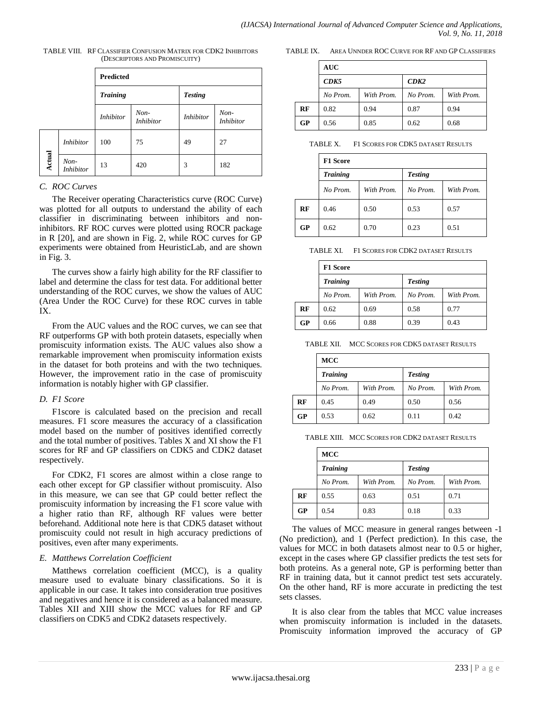|        |                          | <b>Predicted</b> |                            |                  |                            |  |
|--------|--------------------------|------------------|----------------------------|------------------|----------------------------|--|
|        |                          | <b>Training</b>  |                            | <b>Testing</b>   |                            |  |
|        |                          | <i>Inhibitor</i> | $Non-$<br><i>Inhibitor</i> | <i>Inhibitor</i> | $Non-$<br><i>Inhibitor</i> |  |
|        | <i>Inhibitor</i>         | 100              | 75                         | 49               | 27                         |  |
| Actual | Non-<br><i>Inhibitor</i> | 13               | 420                        | 3                | 182                        |  |

TABLE VIII. RF CLASSIFIER CONFUSION MATRIX FOR CDK2 INHIBITORS (DESCRIPTORS AND PROMISCUITY)

#### *C. ROC Curves*

The Receiver operating Characteristics curve (ROC Curve) was plotted for all outputs to understand the ability of each classifier in discriminating between inhibitors and noninhibitors. RF ROC curves were plotted using ROCR package in R [20], and are shown in Fig. 2, while ROC curves for GP experiments were obtained from HeuristicLab, and are shown in Fig. 3.

The curves show a fairly high ability for the RF classifier to label and determine the class for test data. For additional better understanding of the ROC curves, we show the values of AUC (Area Under the ROC Curve) for these ROC curves in table IX.

From the AUC values and the ROC curves, we can see that RF outperforms GP with both protein datasets, especially when promiscuity information exists. The AUC values also show a remarkable improvement when promiscuity information exists in the dataset for both proteins and with the two techniques. However, the improvement ratio in the case of promiscuity information is notably higher with GP classifier.

## *D. F1 Score*

F1score is calculated based on the precision and recall measures. F1 score measures the accuracy of a classification model based on the number of positives identified correctly and the total number of positives. Tables X and XI show the F1 scores for RF and GP classifiers on CDK5 and CDK2 dataset respectively.

For CDK2, F1 scores are almost within a close range to each other except for GP classifier without promiscuity. Also in this measure, we can see that GP could better reflect the promiscuity information by increasing the F1 score value with a higher ratio than RF, although RF values were better beforehand. Additional note here is that CDK5 dataset without promiscuity could not result in high accuracy predictions of positives, even after many experiments.

## *E. Matthews Correlation Coefficient*

Matthews correlation coefficient (MCC), is a quality measure used to evaluate binary classifications. So it is applicable in our case. It takes into consideration true positives and negatives and hence it is considered as a balanced measure. Tables XII and XIII show the MCC values for RF and GP classifiers on CDK5 and CDK2 datasets respectively.

TABLE IX. AREA UNNDER ROC CURVE FOR RF AND GP CLASSIFIERS

|    | <b>AUC</b>   |            |          |            |  |
|----|--------------|------------|----------|------------|--|
|    | CDK5<br>CDK2 |            |          |            |  |
|    | No Prom.     | With Prom. | No Prom. | With Prom. |  |
| RF | 0.82         | 0.94       | 0.87     | 0.94       |  |
| GP | 0.56         | 0.85       | 0.62     | 0.68       |  |

TABLE X. F1 SCORES FOR CDK5 DATASET RESULTS

|    | <b>F1 Score</b> |            |                |            |  |
|----|-----------------|------------|----------------|------------|--|
|    | <b>Training</b> |            | <b>Testing</b> |            |  |
|    | No Prom.        | With Prom. | No Prom.       | With Prom. |  |
| RF | 0.46            | 0.50       | 0.53           | 0.57       |  |
| GP | 0.62            | 0.70       | 0.23           | 0.51       |  |

TABLE XI. F1 SCORES FOR CDK2 DATASET RESULTS

|    | <b>F1 Score</b> |            |                |            |  |
|----|-----------------|------------|----------------|------------|--|
|    | <b>Training</b> |            | <b>Testing</b> |            |  |
|    | No Prom.        | With Prom. | No Prom.       | With Prom. |  |
| RF | 0.62            | 0.69       | 0.58           | 0.77       |  |
| GP | 0.66            | 0.88       | 0.39           | 0.43       |  |

TABLE XII. MCC SCORES FOR CDK5 DATASET RESULTS

|    | <b>MCC</b>      |            |                |            |  |  |
|----|-----------------|------------|----------------|------------|--|--|
|    | <b>Training</b> |            | <b>Testing</b> |            |  |  |
|    | No Prom.        | With Prom. | No Prom.       | With Prom. |  |  |
| RF | 0.45            | 0.49       | 0.50           | 0.56       |  |  |
| GP | 0.53            | 0.62       | 0.11           | 0.42       |  |  |

TABLE XIII. MCC SCORES FOR CDK2 DATASET RESULTS

|    | <b>MCC</b>      |            |                |            |
|----|-----------------|------------|----------------|------------|
|    | <b>Training</b> |            | <b>Testing</b> |            |
|    | No Prom.        | With Prom. | No Prom.       | With Prom. |
| RF | 0.55            | 0.63       | 0.51           | 0.71       |
| GP | 0.54            | 0.83       | 0.18           | 0.33       |

The values of MCC measure in general ranges between -1 (No prediction), and 1 (Perfect prediction). In this case, the values for MCC in both datasets almost near to 0.5 or higher, except in the cases where GP classifier predicts the test sets for both proteins. As a general note, GP is performing better than RF in training data, but it cannot predict test sets accurately. On the other hand, RF is more accurate in predicting the test sets classes.

It is also clear from the tables that MCC value increases when promiscuity information is included in the datasets. Promiscuity information improved the accuracy of GP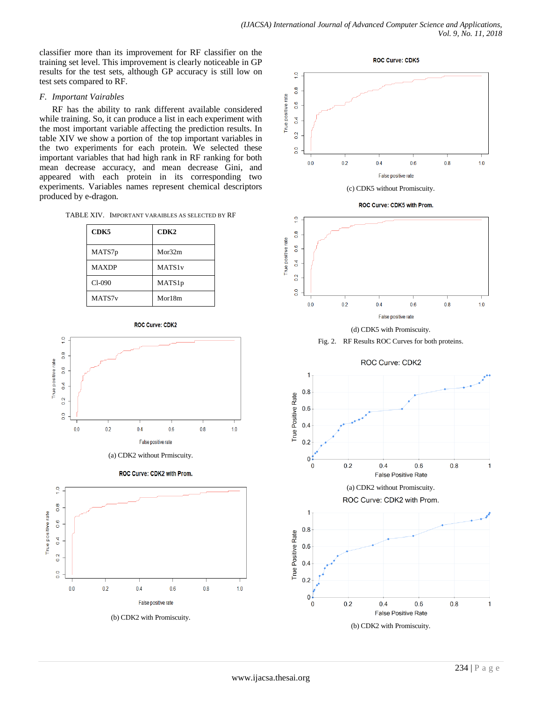classifier more than its improvement for RF classifier on the training set level. This improvement is clearly noticeable in GP results for the test sets, although GP accuracy is still low on test sets compared to RF.

# *F. Important Vairables*

RF has the ability to rank different available considered while training. So, it can produce a list in each experiment with the most important variable affecting the prediction results. In table XIV we show a portion of the top important variables in the two experiments for each protein. We selected these important variables that had high rank in RF ranking for both mean decrease accuracy, and mean decrease Gini, and appeared with each protein in its corresponding two experiments. Variables names represent chemical descriptors produced by e-dragon.

TABLE XIV. IMPORTANT VARAIBLES AS SELECTED BY RF

| CDK5               | CDK2               |
|--------------------|--------------------|
| MATS7p             | Mor32m             |
| <b>MAXDP</b>       | MATS1 <sub>v</sub> |
| $Cl-090$           | MATS1p             |
| MATS7 <sub>v</sub> | Mor18m             |

**ROC Curve: CDK2** 



(a) CDK2 without Prmiscuity.







(b) CDK2 with Promiscuity.